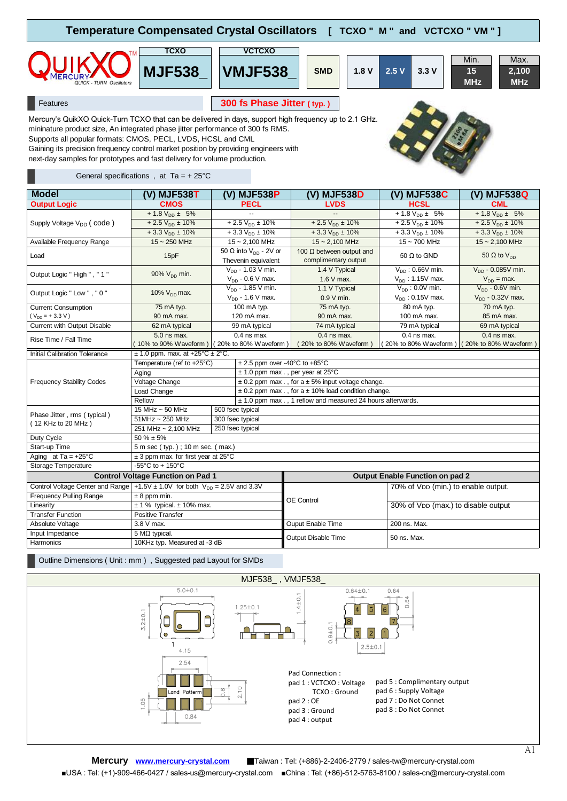| Temperature Compensated Crystal Oscillators [ TCXO " M " and VCTCXO " VM " ]                                                                                                                                                                            |                                                                                                                                  |  |  |  |  |  |  |  |
|---------------------------------------------------------------------------------------------------------------------------------------------------------------------------------------------------------------------------------------------------------|----------------------------------------------------------------------------------------------------------------------------------|--|--|--|--|--|--|--|
| тсхо<br><b>MJF538</b><br><b>QUICK - TURN Oscillators</b>                                                                                                                                                                                                | <b>VCTCXO</b><br>Min.<br>Max.<br><b>VMJF538</b><br>15<br>2,100<br><b>SMD</b><br>3.3V<br>1.8V<br>2.5V<br><b>MHz</b><br><b>MHz</b> |  |  |  |  |  |  |  |
| Features                                                                                                                                                                                                                                                | 300 fs Phase Jitter (typ.)                                                                                                       |  |  |  |  |  |  |  |
| Mercury's QuikXO Quick-Turn TCXO that can be delivered in days, support high frequency up to 2.1 GHz.<br>mininature product size, An integrated phase jitter performance of 300 fs RMS.<br>Supports all popular formats: CMOS, PECL, LVDS, HCSL and CML |                                                                                                                                  |  |  |  |  |  |  |  |

Gaining its precision frequency control market position by providing engineers with

next-day samples for prototypes and fast delivery for volume production.

## General specifications, at  $Ta = + 25^{\circ}C$

| <b>Model</b>                                                                         | (V) MJF538T                                                     | (V) MJF538P                       |                  | (V) MJF538D                                                  | (V) MJF538C                                 | (V) MJF538Q             |  |  |
|--------------------------------------------------------------------------------------|-----------------------------------------------------------------|-----------------------------------|------------------|--------------------------------------------------------------|---------------------------------------------|-------------------------|--|--|
| <b>Output Logic</b>                                                                  | <b>CMOS</b>                                                     | PECL                              |                  | <b>LVDS</b>                                                  | <b>HCSL</b>                                 | <b>CML</b>              |  |  |
|                                                                                      | + 1.8 $V_{DD}$ ± 5%                                             |                                   |                  |                                                              | $+1.8 V_{D} \pm 5\%$                        | + 1.8 $V_{DD}$ ± 5%     |  |  |
| Supply Voltage V <sub>DD</sub> (code)                                                | $+2.5 V_{DD} \pm 10\%$                                          | $+2.5 V_{DD} \pm 10\%$            |                  | $+2.5 VDD \pm 10%$                                           | $+2.5 V_{DD} \pm 10\%$                      | $+2.5 VDD \pm 10%$      |  |  |
|                                                                                      | $+3.3 V_{DD} \pm 10\%$                                          | $+3.3 V_{DD} \pm 10%$             |                  | $+3.3 V_{DD} \pm 10\%$                                       | $+3.3 V_{DD} \pm 10\%$                      | $+3.3 V_{DD} \pm 10\%$  |  |  |
| Available Frequency Range                                                            | $15 - 250$ MHz                                                  | $15 - 2,100$ MHz                  |                  | $15 - 2.100$ MHz                                             | $15 - 700$ MHz                              | $15 - 2,100$ MHz        |  |  |
|                                                                                      |                                                                 | 50 $\Omega$ into $V_{DD}$ - 2V or |                  | 100 $\Omega$ between output and                              | 50 $\Omega$ to GND                          |                         |  |  |
| Load                                                                                 | 15pF                                                            | Thevenin equivalent               |                  | complimentary output                                         |                                             | 50 $\Omega$ to $V_{DD}$ |  |  |
| Output Logic " High ", " 1 "                                                         | $90\%$ V <sub>DD</sub> min.                                     | $V_{DD}$ - 1.03 V min.            |                  | 1.4 V Typical                                                | $V_{DD}$ : 0.66V min.                       | $V_{DD}$ - 0.085V min.  |  |  |
|                                                                                      |                                                                 | $V_{DD}$ - 0.6 V max.             |                  | 1.6 V max.                                                   | $V_{DD}$ : 1.15V max.                       | $V_{DD}$ = max.         |  |  |
| Output Logic "Low ", " 0"                                                            | 10% $V_{DD}$ max.                                               | $V_{DD}$ - 1.85 V min.            |                  | 1.1 V Typical                                                | $V_{DD}$ : 0.0V min.                        | $V_{DD}$ - 0.6V min.    |  |  |
|                                                                                      |                                                                 | $V_{DD}$ - 1.6 V max.             |                  | $0.9 V$ min.                                                 | $V_{DD}$ : 0.15V max.                       | $V_{DD}$ - 0.32V max.   |  |  |
| <b>Current Consumption</b>                                                           | 75 mA typ.                                                      | 100 mA typ.                       |                  | 75 mA typ.                                                   | 80 mA typ.                                  | 70 mA typ.              |  |  |
| $(V_{DD} = +3.3 V)$                                                                  | 90 mA max.                                                      |                                   | 120 mA max.      | 90 mA max.                                                   | 100 mA max.                                 | 85 mA max.              |  |  |
| Current with Output Disabie                                                          | 62 mA typical                                                   |                                   | 99 mA typical    | 74 mA typical                                                | 79 mA typical                               | 69 mA typical           |  |  |
| Rise Time / Fall Time                                                                | 5.0 ns max.                                                     | $0.4$ ns max.                     |                  | $0.4$ ns max.                                                | $0.4$ ns max.                               | $0.4$ ns max.           |  |  |
|                                                                                      | (10% to 90% Waveform) (20% to 80% Waveform)                     |                                   |                  | (20% to 80% Waveform)                                        | (20% to 80% Waveform) (20% to 80% Waveform) |                         |  |  |
| <b>Initial Calibration Tolerance</b>                                                 | $\pm$ 1.0 ppm. max. at +25°C $\pm$ 2°C.                         |                                   |                  |                                                              |                                             |                         |  |  |
|                                                                                      | Temperature (ref to +25°C)<br>$\pm$ 2.5 ppm over -40°C to +85°C |                                   |                  |                                                              |                                             |                         |  |  |
|                                                                                      | Aging                                                           |                                   |                  | $± 1.0$ ppm max., per year at 25 $°C$                        |                                             |                         |  |  |
| <b>Frequency Stability Codes</b>                                                     | Voltage Change                                                  |                                   |                  | $\pm$ 0.2 ppm max . , for a $\pm$ 5% input voltage change.   |                                             |                         |  |  |
|                                                                                      | Load Change                                                     |                                   |                  | $\pm$ 0.2 ppm max., for a $\pm$ 10% load condition change.   |                                             |                         |  |  |
|                                                                                      | Reflow                                                          |                                   |                  | ± 1.0 ppm max . , 1 reflow and measured 24 hours afterwards. |                                             |                         |  |  |
| Phase Jitter, rms (typical)                                                          | 15 MHz ~ 50 MHz<br>500 fsec typical                             |                                   |                  |                                                              |                                             |                         |  |  |
| (12 KHz to 20 MHz)                                                                   | $51MHz \sim 250 MHz$                                            |                                   | 300 fsec typical |                                                              |                                             |                         |  |  |
|                                                                                      | 250 fsec typical<br>251 MHz ~ 2,100 MHz                         |                                   |                  |                                                              |                                             |                         |  |  |
| Duty Cycle                                                                           | $50 \% \pm 5\%$                                                 |                                   |                  |                                                              |                                             |                         |  |  |
| Start-up Time                                                                        | 5 m sec (typ.); 10 m sec. (max.)                                |                                   |                  |                                                              |                                             |                         |  |  |
| Aging at $Ta = +25^{\circ}C$                                                         | $\pm$ 3 ppm max. for first year at 25°C                         |                                   |                  |                                                              |                                             |                         |  |  |
| Storage Temperature                                                                  | $-55^{\circ}$ C to + 150 $^{\circ}$ C                           |                                   |                  |                                                              |                                             |                         |  |  |
|                                                                                      | <b>Control Voltage Function on Pad 1</b>                        |                                   |                  | <b>Output Enable Function on pad 2</b>                       |                                             |                         |  |  |
| Control Voltage Center and Range $ +1.5V \pm 1.0V$ for both $V_{DD} = 2.5V$ and 3.3V |                                                                 |                                   |                  | 70% of VDD (min.) to enable output.                          |                                             |                         |  |  |
| Frequency Pulling Range                                                              | $± 8$ ppm min.                                                  |                                   |                  |                                                              |                                             |                         |  |  |
| Linearity                                                                            | $± 1$ % typical. $± 10$ % max.                                  |                                   |                  | OE Control<br>30% of VDD (max.) to disable output            |                                             |                         |  |  |
| <b>Transfer Function</b>                                                             | Positive Transfer                                               |                                   |                  |                                                              |                                             |                         |  |  |
| Absolute Voltage                                                                     | 3.8 V max.                                                      |                                   |                  | Ouput Enable Time                                            | 200 ns. Max.                                |                         |  |  |
| Input Impedance                                                                      | $5 M\Omega$ typical.                                            |                                   |                  | Output Disable Time<br>50 ns. Max.                           |                                             |                         |  |  |
| Harmonics                                                                            | 10KHz typ. Measured at -3 dB                                    |                                   |                  |                                                              |                                             |                         |  |  |

Outline Dimensions ( Unit : mm ) , Suggested pad Layout for SMDs